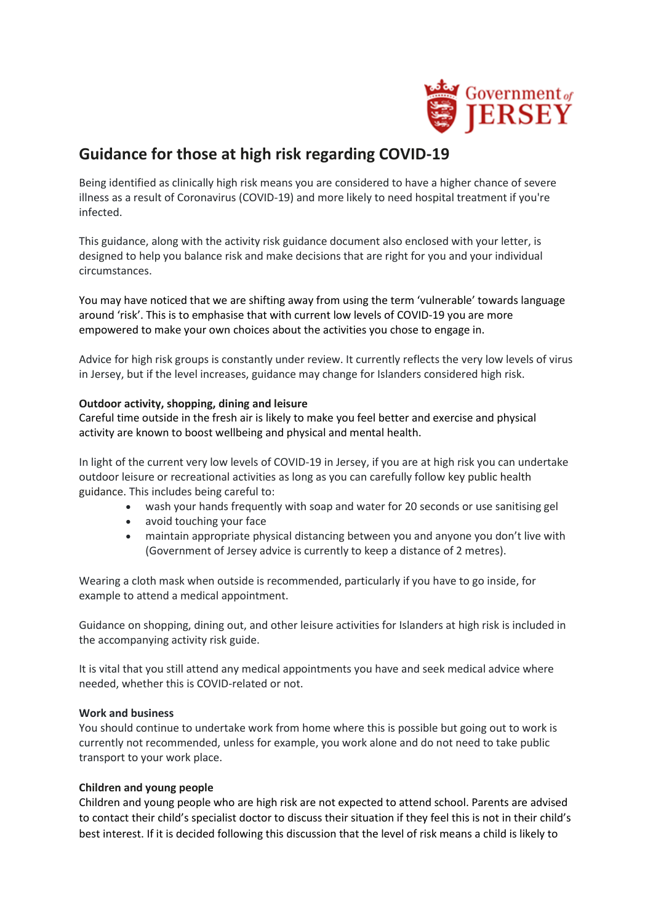

# **Guidance for those at high risk regarding COVID-19**

Being identified as clinically high risk means you are considered to have a higher chance of severe illness as a result of Coronavirus (COVID-19) and more likely to need hospital treatment if you're infected.

This guidance, along with the activity risk guidance document also enclosed with your letter, is designed to help you balance risk and make decisions that are right for you and your individual circumstances.

You may have noticed that we are shifting away from using the term 'vulnerable' towards language around 'risk'. This is to emphasise that with current low levels of COVID-19 you are more empowered to make your own choices about the activities you chose to engage in.

Advice for high risk groups is constantly under review. It currently reflects the very low levels of virus in Jersey, but if the level increases, guidance may change for Islanders considered high risk.

## **Outdoor activity, shopping, dining and leisure**

Careful time outside in the fresh air is likely to make you feel better and exercise and physical activity are known to boost wellbeing and physical and mental health.

In light of the current very low levels of COVID-19 in Jersey, if you are at high risk you can undertake outdoor leisure or recreational activities as long as you can carefully follow [key public health](https://www.gov.je/health/coronavirus/safeexitframework/pages/safeexitframeworkforislanders.aspx#KeyPublicHealthMessages)  [guidance.](https://www.gov.je/health/coronavirus/safeexitframework/pages/safeexitframeworkforislanders.aspx#KeyPublicHealthMessages) This includes being careful to:

- wash your hands frequently with soap and water for 20 seconds or use sanitising gel
- avoid touching your face
- maintain appropriate physical distancing between you and anyone you don't live with (Government of Jersey advice is currently to keep a distance of 2 metres).

Wearing a cloth mask when outside is recommended, particularly if you have to go inside, for example to attend a medical appointment.

Guidance on shopping, dining out, and other leisure activities for Islanders at high risk is included in the accompanying activity risk guide.

It is vital that you still attend any medical appointments you have and seek medical advice where needed, whether this is COVID-related or not.

#### **Work and business**

You should continue to undertake work from home where this is possible but going out to work is currently not recommended, unless for example, you work alone and do not need to take public transport to your work place.

# **Children and young people**

Children and young people who are high risk are not expected to attend school. Parents are advised to contact their child's specialist doctor to discuss their situation if they feel this is not in their child's best interest. If it is decided following this discussion that the level of risk means a child is likely to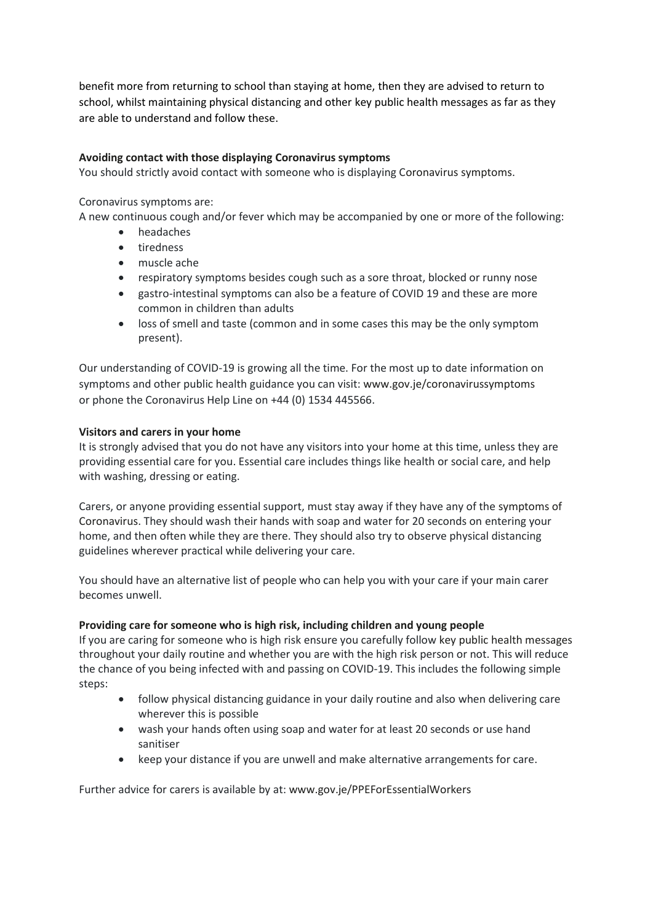benefit more from returning to school than staying at home, then they are advised to return to school, whilst maintaining physical distancing and other [key public health messages](https://www.gov.je/health/coronavirus/safeexitframework/pages/safeexitframeworkforislanders.aspx#KeyPublicHealthMessages) as far as they are able to understand and follow these.

## **Avoiding contact with those displaying Coronavirus symptoms**

You should strictly avoid contact with someone who is displaying [Coronavirus](https://www.gov.je/Health/Coronavirus/PublicHealthGuidance/Pages/CoronavirusInformation.aspx#Symptoms) symptoms.

#### Coronavirus symptoms are:

A new continuous cough and/or fever which may be accompanied by one or more of the following:

- headaches
- tiredness
- muscle ache
- respiratory symptoms besides cough such as a sore throat, blocked or runny nose
- gastro-intestinal symptoms can also be a feature of COVID 19 and these are more common in children than adults
- loss of smell and taste (common and in some cases this may be the only symptom present).

Our understanding of COVID-19 is growing all the time. For the most up to date information on symptoms and other public health guidance you can visit: [www.gov.je/coronavirussymptoms](https://www.gov.je/coronavirussymptoms) or phone the Coronavirus Help Line on [+44 \(0\) 1534](tel:+44%201534445566) 445566.

## **Visitors and carers in your home**

It is strongly advised that you do not have any visitors into your home at this time, unless they are providing essential care for you. Essential care includes things like health or social care, and help with washing, dressing or eating.

Carers, or anyone providing essential support, must stay away if they have any of the symptoms of Coronavirus. They should wash their hands with soap and water for 20 seconds on entering your home, and then often while they are there. They should also try to observe physical distancing guidelines wherever practical while delivering your care.

You should have an alternative list of people who can help you with your care if your main carer becomes unwell.

# **Providing care for someone who is high risk, including children and young people**

If you are caring for someone who is high risk ensure you carefully follow key public health messages throughout your daily routine and whether you are with the high risk person or not. This will reduce the chance of you being infected with and passing on COVID-19. This includes the following simple steps:

- follow physical distancing guidance in your daily routine and also when delivering care wherever this is possible
- wash your hands often using soap and water for at least 20 seconds or use hand sanitiser
- keep your distance if you are unwell and make alternative arrangements for care.

Further advice for carers is available by at[: www.gov.je/PPEForEssentialWorkers](https://eur02.safelinks.protection.outlook.com/?url=http%3A%2F%2Fwww.gov.je%2FPPEForEssentialWorkers&data=02%7C01%7C%7C9121e36d208e46a6aa2b08d811da54e2%7C2b5615117ddf495c8164f56ae776c54a%7C0%7C0%7C637278976708191728&sdata=lUAt2Q3UAJhfDCmqGUfZHK3jVLANAtJMN6YqwnC0VR4%3D&reserved=0)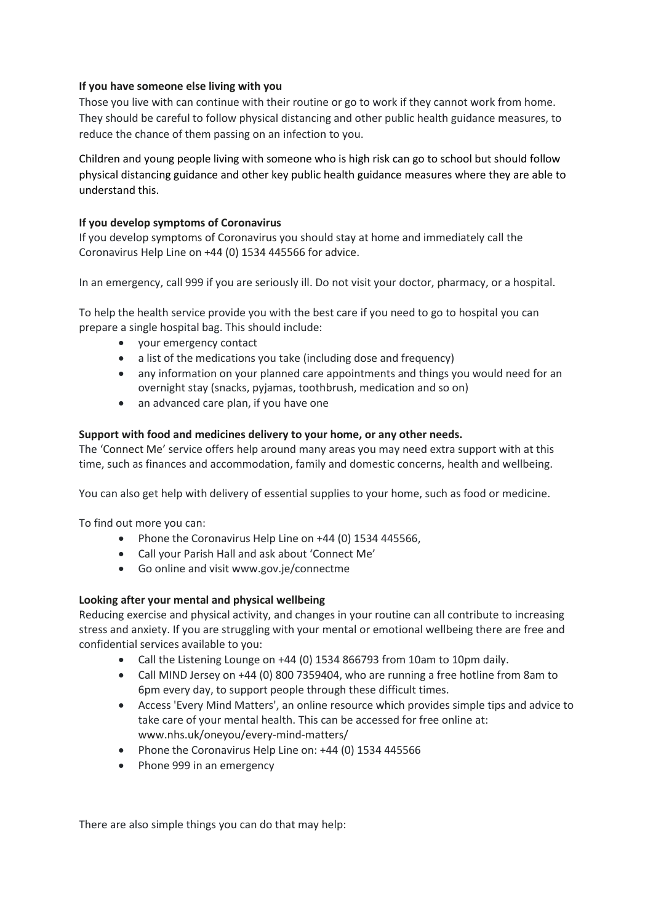## **If you have someone else living with you**

Those you live with can continue with their routine or go to work if they cannot work from home. They should be careful to follow physical distancing and other public health guidance measures, to reduce the chance of them passing on an infection to you.

Children and young people living with someone who is high risk can go to school but should follow physical distancing guidance and other key public health guidance measures where they are able to understand this.

## **If you develop symptoms of Coronavirus**

If you develop [symptoms of Coronavirus](https://www.gov.je/Health/Coronavirus/PublicHealthGuidance/Pages/CoronavirusInformation.aspx) you should stay at home and immediately call the Coronavirus Help Line o[n +44 \(0\) 1534 445566](tel:+44%201534445566) for advice.

In an emergency, call 999 if you are seriously ill. Do not visit your doctor, pharmacy, or a hospital.

To help the health service provide you with the best care if you need to go to hospital you can prepare a single hospital bag. This should include:

- your emergency contact
- a list of the medications you take (including dose and frequency)
- any information on your planned care appointments and things you would need for an overnight stay (snacks, pyjamas, toothbrush, medication and so on)
- an advanced care plan, if you have one

## **Support with food and medicines delivery to your home, or any other needs.**

The ['Connect Me'](https://www.gov.je/health/coronavirus/volunteering/Pages/index.aspx) service offers help around many areas you may need extra support with at this time, such as finances and accommodation, family and domestic concerns, health and wellbeing.

You can also get help with delivery of essential supplies to your home, such as food or medicine.

To find out more you can:

- Phone the Coronavirus Help Line o[n +44 \(0\) 1534](tel:+44%201534445566) 445566,
- Call your Parish Hall and ask about 'Connect Me'
- Go online and visit [www.gov.je/connectme](https://www.gov.je/connectme)

# **Looking after your mental and physical wellbeing**

Reducing exercise and physical activity, and changes in your routine can all contribute to increasing stress and anxiety. If you are struggling with your mental or emotional wellbeing there are free and confidential services available to you:

- Call the Listening Lounge on +44 [\(0\) 1534 866793](tel:+44%201534866793) from 10am to 10pm daily.
- Call MIND Jersey on +44 (0) 800 7359404, who are running a free hotline from 8am to 6pm every day, to support people through these difficult times.
- Access 'Every Mind Matters', an online resource which provides simple tips and advice to take care of your mental health. This can be accessed for free online at: [www.nhs.uk/oneyou/every-mind-matters/](https://www.nhs.uk/oneyou/every-mind-matters/)
- Phone the Coronavirus Help Line on[: +44 \(0\) 1534](tel:+44%201534445566) 445566
- Phone 999 in an emergency

There are also simple things you can do that may help: